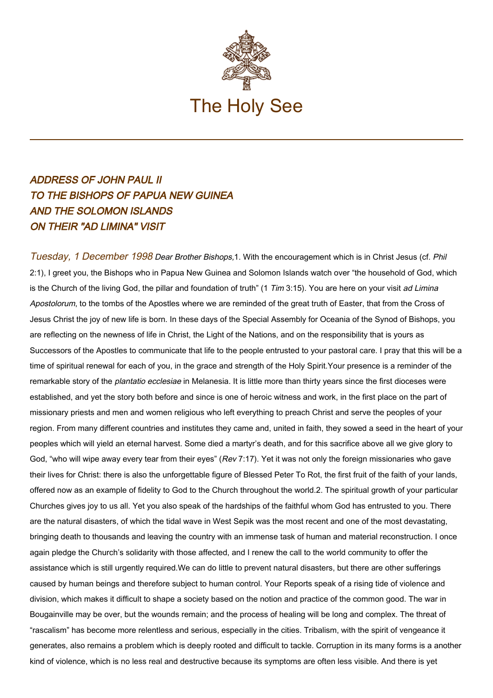

## ADDRESS OF JOHN PAUL II TO THE BISHOPS OF PAPUA NEW GUINEA AND THE SOLOMON ISLANDS ON THEIR "AD LIMINA" VISIT

Tuesday, 1 December 1998 Dear Brother Bishops, 1. With the encouragement which is in Christ Jesus (cf. Phil 2:1), I greet you, the Bishops who in Papua New Guinea and Solomon Islands watch over "the household of God, which is the Church of the living God, the pillar and foundation of truth" (1 Tim 3:15). You are here on your visit ad Limina Apostolorum, to the tombs of the Apostles where we are reminded of the great truth of Easter, that from the Cross of Jesus Christ the joy of new life is born. In these days of the Special Assembly for Oceania of the Synod of Bishops, you are reflecting on the newness of life in Christ, the Light of the Nations, and on the responsibility that is yours as Successors of the Apostles to communicate that life to the people entrusted to your pastoral care. I pray that this will be a time of spiritual renewal for each of you, in the grace and strength of the Holy Spirit.Your presence is a reminder of the remarkable story of the *plantatio ecclesiae* in Melanesia. It is little more than thirty years since the first dioceses were established, and yet the story both before and since is one of heroic witness and work, in the first place on the part of missionary priests and men and women religious who left everything to preach Christ and serve the peoples of your region. From many different countries and institutes they came and, united in faith, they sowed a seed in the heart of your peoples which will yield an eternal harvest. Some died a martyr's death, and for this sacrifice above all we give glory to God, "who will wipe away every tear from their eyes" (Rev 7:17). Yet it was not only the foreign missionaries who gave their lives for Christ: there is also the unforgettable figure of Blessed Peter To Rot, the first fruit of the faith of your lands, offered now as an example of fidelity to God to the Church throughout the world.2. The spiritual growth of your particular Churches gives joy to us all. Yet you also speak of the hardships of the faithful whom God has entrusted to you. There are the natural disasters, of which the tidal wave in West Sepik was the most recent and one of the most devastating, bringing death to thousands and leaving the country with an immense task of human and material reconstruction. I once again pledge the Church's solidarity with those affected, and I renew the call to the world community to offer the assistance which is still urgently required.We can do little to prevent natural disasters, but there are other sufferings caused by human beings and therefore subject to human control. Your Reports speak of a rising tide of violence and division, which makes it difficult to shape a society based on the notion and practice of the common good. The war in Bougainville may be over, but the wounds remain; and the process of healing will be long and complex. The threat of "rascalism" has become more relentless and serious, especially in the cities. Tribalism, with the spirit of vengeance it generates, also remains a problem which is deeply rooted and difficult to tackle. Corruption in its many forms is a another kind of violence, which is no less real and destructive because its symptoms are often less visible. And there is yet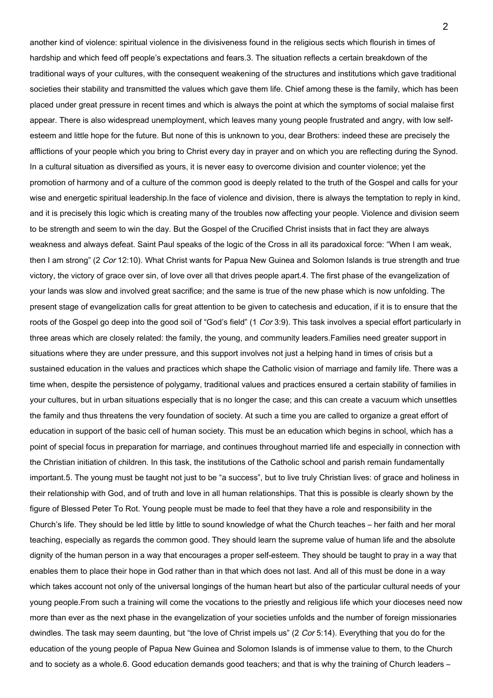another kind of violence: spiritual violence in the divisiveness found in the religious sects which flourish in times of hardship and which feed off people's expectations and fears.3. The situation reflects a certain breakdown of the traditional ways of your cultures, with the consequent weakening of the structures and institutions which gave traditional societies their stability and transmitted the values which gave them life. Chief among these is the family, which has been placed under great pressure in recent times and which is always the point at which the symptoms of social malaise first appear. There is also widespread unemployment, which leaves many young people frustrated and angry, with low selfesteem and little hope for the future. But none of this is unknown to you, dear Brothers: indeed these are precisely the afflictions of your people which you bring to Christ every day in prayer and on which you are reflecting during the Synod. In a cultural situation as diversified as yours, it is never easy to overcome division and counter violence; yet the promotion of harmony and of a culture of the common good is deeply related to the truth of the Gospel and calls for your wise and energetic spiritual leadership.In the face of violence and division, there is always the temptation to reply in kind, and it is precisely this logic which is creating many of the troubles now affecting your people. Violence and division seem to be strength and seem to win the day. But the Gospel of the Crucified Christ insists that in fact they are always weakness and always defeat. Saint Paul speaks of the logic of the Cross in all its paradoxical force: "When I am weak, then I am strong" (2 Cor 12:10). What Christ wants for Papua New Guinea and Solomon Islands is true strength and true victory, the victory of grace over sin, of love over all that drives people apart.4. The first phase of the evangelization of your lands was slow and involved great sacrifice; and the same is true of the new phase which is now unfolding. The present stage of evangelization calls for great attention to be given to catechesis and education, if it is to ensure that the roots of the Gospel go deep into the good soil of "God's field" (1 Cor 3:9). This task involves a special effort particularly in three areas which are closely related: the family, the young, and community leaders.Families need greater support in situations where they are under pressure, and this support involves not just a helping hand in times of crisis but a sustained education in the values and practices which shape the Catholic vision of marriage and family life. There was a time when, despite the persistence of polygamy, traditional values and practices ensured a certain stability of families in your cultures, but in urban situations especially that is no longer the case; and this can create a vacuum which unsettles the family and thus threatens the very foundation of society. At such a time you are called to organize a great effort of education in support of the basic cell of human society. This must be an education which begins in school, which has a point of special focus in preparation for marriage, and continues throughout married life and especially in connection with the Christian initiation of children. In this task, the institutions of the Catholic school and parish remain fundamentally important.5. The young must be taught not just to be "a success", but to live truly Christian lives: of grace and holiness in their relationship with God, and of truth and love in all human relationships. That this is possible is clearly shown by the figure of Blessed Peter To Rot. Young people must be made to feel that they have a role and responsibility in the Church's life. They should be led little by little to sound knowledge of what the Church teaches – her faith and her moral teaching, especially as regards the common good. They should learn the supreme value of human life and the absolute dignity of the human person in a way that encourages a proper self-esteem. They should be taught to pray in a way that enables them to place their hope in God rather than in that which does not last. And all of this must be done in a way which takes account not only of the universal longings of the human heart but also of the particular cultural needs of your young people.From such a training will come the vocations to the priestly and religious life which your dioceses need now more than ever as the next phase in the evangelization of your societies unfolds and the number of foreign missionaries dwindles. The task may seem daunting, but "the love of Christ impels us" (2 Cor 5:14). Everything that you do for the education of the young people of Papua New Guinea and Solomon Islands is of immense value to them, to the Church and to society as a whole.6. Good education demands good teachers; and that is why the training of Church leaders –

 $\mathfrak{p}$